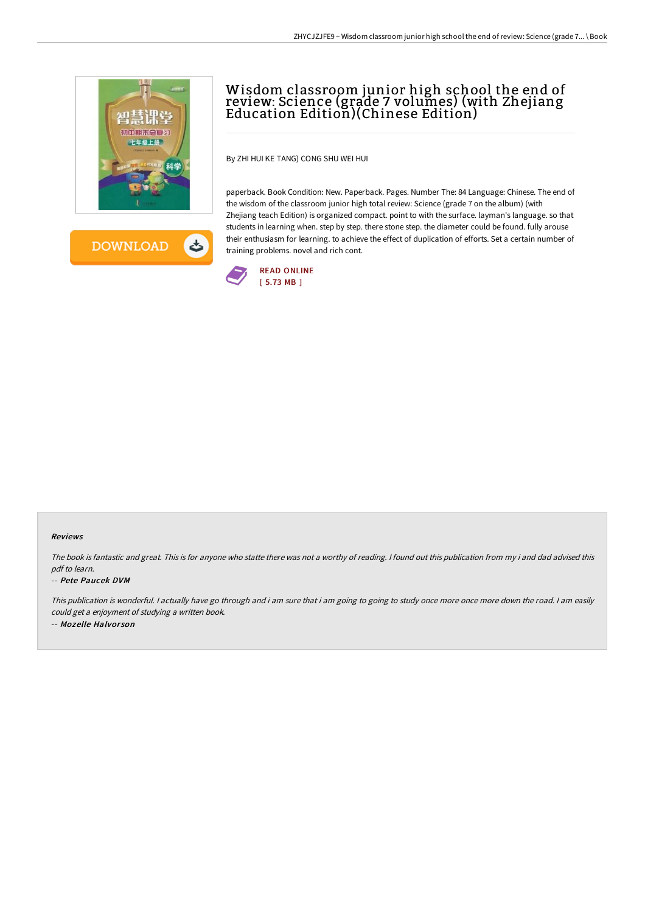

ょ **DOWNLOAD** 

# Wisdom classroom junior high school the end of review: Science (grade 7 volumes) (with Zhejiang Education Edition)(Chinese Edition)

By ZHI HUI KE TANG) CONG SHU WEI HUI

paperback. Book Condition: New. Paperback. Pages. Number The: 84 Language: Chinese. The end of the wisdom of the classroom junior high total review: Science (grade 7 on the album) (with Zhejiang teach Edition) is organized compact. point to with the surface. layman's language. so that students in learning when. step by step. there stone step. the diameter could be found. fully arouse their enthusiasm for learning. to achieve the effect of duplication of efforts. Set a certain number of training problems. novel and rich cont.



#### Reviews

The book is fantastic and great. This is for anyone who statte there was not <sup>a</sup> worthy of reading. <sup>I</sup> found out this publication from my i and dad advised this pdf to learn.

#### -- Pete Paucek DVM

This publication is wonderful. <sup>I</sup> actually have go through and i am sure that i am going to going to study once more once more down the road. <sup>I</sup> am easily could get <sup>a</sup> enjoyment of studying <sup>a</sup> written book. -- Mozelle Halvor son